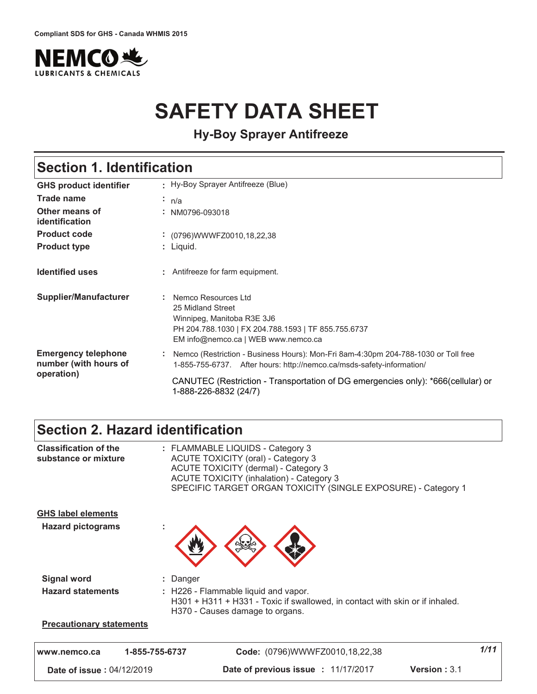

# **SAFETY DATA SHEET**

**Hy-Boy Sprayer Antifreeze**

### **Section 1. Identification**

| <b>GHS product identifier</b>                                     | Hy-Boy Sprayer Antifreeze (Blue)                                                                                                                                                                                                                                         |  |
|-------------------------------------------------------------------|--------------------------------------------------------------------------------------------------------------------------------------------------------------------------------------------------------------------------------------------------------------------------|--|
| Trade name                                                        | $\cdot$ n/a                                                                                                                                                                                                                                                              |  |
| Other means of<br>identification                                  | : NM0796-093018                                                                                                                                                                                                                                                          |  |
| <b>Product code</b>                                               | : (0796) WWWFZ0010, 18, 22, 38                                                                                                                                                                                                                                           |  |
| <b>Product type</b>                                               | : Liguid.                                                                                                                                                                                                                                                                |  |
| <b>Identified uses</b>                                            | : Antifreeze for farm equipment.                                                                                                                                                                                                                                         |  |
| <b>Supplier/Manufacturer</b>                                      | : Nemco Resources Ltd<br>25 Midland Street<br>Winnipeg, Manitoba R3E 3J6<br>PH 204.788.1030   FX 204.788.1593   TF 855.755.6737<br>EM info@nemco.ca   WEB www.nemco.ca                                                                                                   |  |
| <b>Emergency telephone</b><br>number (with hours of<br>operation) | Nemco (Restriction - Business Hours): Mon-Fri 8am-4:30pm 204-788-1030 or Toll free<br>1-855-755-6737. After hours: http://nemco.ca/msds-safety-information/<br>CANUTEC (Restriction - Transportation of DG emergencies only): *666(cellular) or<br>1-888-226-8832 (24/7) |  |

### **Section 2. Hazard identification**

| <b>Precautionary statements</b>                       |                                                                                                                                                                                                                                                  |  |
|-------------------------------------------------------|--------------------------------------------------------------------------------------------------------------------------------------------------------------------------------------------------------------------------------------------------|--|
| <b>Hazard statements</b>                              | : H226 - Flammable liquid and vapor.<br>H301 + H311 + H331 - Toxic if swallowed, in contact with skin or if inhaled.<br>H370 - Causes damage to organs.                                                                                          |  |
| <b>Signal word</b>                                    | : Danger                                                                                                                                                                                                                                         |  |
| <b>GHS label elements</b><br><b>Hazard pictograms</b> |                                                                                                                                                                                                                                                  |  |
| <b>Classification of the</b><br>substance or mixture  | : FLAMMABLE LIQUIDS - Category 3<br><b>ACUTE TOXICITY (oral) - Category 3</b><br><b>ACUTE TOXICITY (dermal) - Category 3</b><br><b>ACUTE TOXICITY (inhalation) - Category 3</b><br>SPECIFIC TARGET ORGAN TOXICITY (SINGLE EXPOSURE) - Category 1 |  |

 **#** 14<12<,1\*9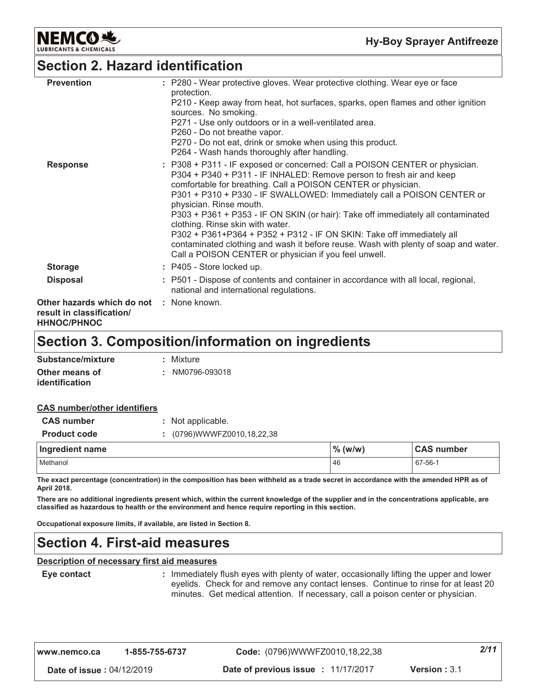

### **Section 2. Hazard identification**

| <b>Prevention</b>                                                                                  | : P280 - Wear protective gloves. Wear protective clothing. Wear eye or face<br>protection.                                                                                                                                                                                                                                                                                                                                                                                                                                                                                                                                                                                 |
|----------------------------------------------------------------------------------------------------|----------------------------------------------------------------------------------------------------------------------------------------------------------------------------------------------------------------------------------------------------------------------------------------------------------------------------------------------------------------------------------------------------------------------------------------------------------------------------------------------------------------------------------------------------------------------------------------------------------------------------------------------------------------------------|
|                                                                                                    | P210 - Keep away from heat, hot surfaces, sparks, open flames and other ignition<br>sources. No smoking.                                                                                                                                                                                                                                                                                                                                                                                                                                                                                                                                                                   |
|                                                                                                    | P271 - Use only outdoors or in a well-ventilated area.                                                                                                                                                                                                                                                                                                                                                                                                                                                                                                                                                                                                                     |
|                                                                                                    | P260 - Do not breathe vapor.<br>P270 - Do not eat, drink or smoke when using this product.<br>P264 - Wash hands thoroughly after handling.                                                                                                                                                                                                                                                                                                                                                                                                                                                                                                                                 |
| <b>Response</b>                                                                                    | : P308 + P311 - IF exposed or concerned: Call a POISON CENTER or physician.<br>P304 + P340 + P311 - IF INHALED: Remove person to fresh air and keep<br>comfortable for breathing. Call a POISON CENTER or physician.<br>P301 + P310 + P330 - IF SWALLOWED: Immediately call a POISON CENTER or<br>physician. Rinse mouth.<br>P303 + P361 + P353 - IF ON SKIN (or hair): Take off immediately all contaminated<br>clothing. Rinse skin with water.<br>P302 + P361+P364 + P352 + P312 - IF ON SKIN: Take off immediately all<br>contaminated clothing and wash it before reuse. Wash with plenty of soap and water.<br>Call a POISON CENTER or physician if you feel unwell. |
| <b>Storage</b>                                                                                     | : P405 - Store locked up.                                                                                                                                                                                                                                                                                                                                                                                                                                                                                                                                                                                                                                                  |
| <b>Disposal</b>                                                                                    | : P501 - Dispose of contents and container in accordance with all local, regional,<br>national and international regulations.                                                                                                                                                                                                                                                                                                                                                                                                                                                                                                                                              |
| <b>Other hazards which do not : None known.</b><br>result in classification/<br><b>HHNOC/PHNOC</b> |                                                                                                                                                                                                                                                                                                                                                                                                                                                                                                                                                                                                                                                                            |

### **Section 3. Composition/information on ingredients**

| Substance/mixture     | : Mixture       |
|-----------------------|-----------------|
| Other means of        | : NM0796-093018 |
| <b>identification</b> |                 |

#### **CAS number/other identifiers**

| <b>CAS number</b>   | : Not applicable.        |            |                   |  |
|---------------------|--------------------------|------------|-------------------|--|
| <b>Product code</b> | (0796)WWWFZ0010,18,22,38 |            |                   |  |
|                     |                          |            |                   |  |
| Ingredient name     |                          | $\%$ (w/w) | <b>CAS number</b> |  |

The exact percentage (concentration) in the composition has been withheld as a trade secret in accordance with the amended HPR as of April 2018.

There are no additional ingredients present which, within the current knowledge of the supplier and in the concentrations applicable, are classified as hazardous to health or the environment and hence require reporting in this section.

Occupational exposure limits, if available, are listed in Section 8.

### **Section 4. First-aid measures**

#### Description of necessary first aid measures

```
Eye contact
```
: Immediately flush eyes with plenty of water, occasionally lifting the upper and lower eyelids. Check for and remove any contact lenses. Continue to rinse for at least 20 minutes. Get medical attention. If necessary, call a poison center or physician.

| www.nemco.ca                     | 1-855-755-6737 | Code: (0796)WWWFZ0010,18,22,38      |                        | 2/11 |
|----------------------------------|----------------|-------------------------------------|------------------------|------|
| <b>Date of issue: 04/12/2019</b> |                | Date of previous issue : 11/17/2017 | <b>Version</b> : $3.1$ |      |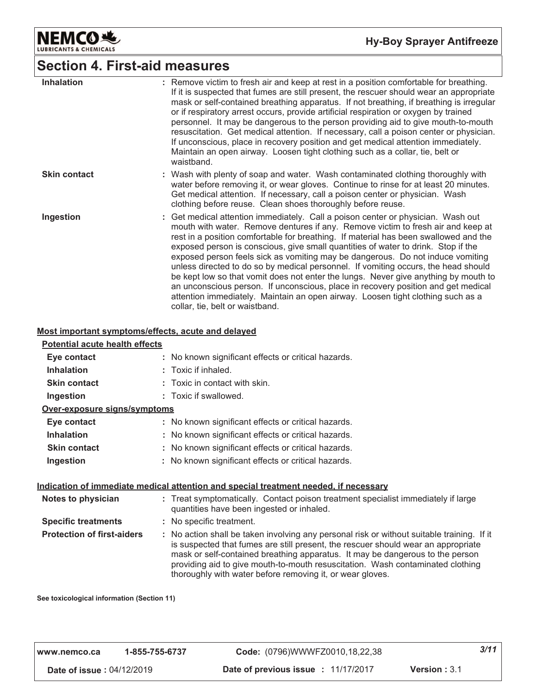

### **Section 4. First-aid measures**

| <b>Inhalation</b>   | : Remove victim to fresh air and keep at rest in a position comfortable for breathing.<br>If it is suspected that fumes are still present, the rescuer should wear an appropriate<br>mask or self-contained breathing apparatus. If not breathing, if breathing is irregular<br>or if respiratory arrest occurs, provide artificial respiration or oxygen by trained<br>personnel. It may be dangerous to the person providing aid to give mouth-to-mouth<br>resuscitation. Get medical attention. If necessary, call a poison center or physician.<br>If unconscious, place in recovery position and get medical attention immediately.<br>Maintain an open airway. Loosen tight clothing such as a collar, tie, belt or<br>waistband.                                                                                     |
|---------------------|-----------------------------------------------------------------------------------------------------------------------------------------------------------------------------------------------------------------------------------------------------------------------------------------------------------------------------------------------------------------------------------------------------------------------------------------------------------------------------------------------------------------------------------------------------------------------------------------------------------------------------------------------------------------------------------------------------------------------------------------------------------------------------------------------------------------------------|
| <b>Skin contact</b> | : Wash with plenty of soap and water. Wash contaminated clothing thoroughly with<br>water before removing it, or wear gloves. Continue to rinse for at least 20 minutes.<br>Get medical attention. If necessary, call a poison center or physician. Wash<br>clothing before reuse. Clean shoes thoroughly before reuse.                                                                                                                                                                                                                                                                                                                                                                                                                                                                                                     |
| Ingestion           | : Get medical attention immediately. Call a poison center or physician. Wash out<br>mouth with water. Remove dentures if any. Remove victim to fresh air and keep at<br>rest in a position comfortable for breathing. If material has been swallowed and the<br>exposed person is conscious, give small quantities of water to drink. Stop if the<br>exposed person feels sick as vomiting may be dangerous. Do not induce vomiting<br>unless directed to do so by medical personnel. If vomiting occurs, the head should<br>be kept low so that vomit does not enter the lungs. Never give anything by mouth to<br>an unconscious person. If unconscious, place in recovery position and get medical<br>attention immediately. Maintain an open airway. Loosen tight clothing such as a<br>collar, tie, belt or waistband. |

#### Most important symptoms/effects, acute and delayed

#### **Potential acute health effects** Eye contact : No known significant effects or critical hazards. **Inhalation** : Toxic if inhaled. **Skin contact** : Toxic in contact with skin. Ingestion : Toxic if swallowed. Over-exposure signs/symptoms Eye contact : No known significant effects or critical hazards. **Inhalation** : No known significant effects or critical hazards. **Skin contact** : No known significant effects or critical hazards. : No known significant effects or critical hazards. Ingestion Indication of immediate medical attention and special treatment needed, if necessary Notes to physician : Treat symptomatically. Contact poison treatment specialist immediately if large quantities have been ingested or inhaled. **Specific treatments** : No specific treatment. **Protection of first-aiders** : No action shall be taken involving any personal risk or without suitable training. If it is suspected that fumes are still present, the rescuer should wear an appropriate mask or self-contained breathing apparatus. It may be dangerous to the person

See toxicological information (Section 11)

| I www.nemco.ca                   | 1-855-755-6737 | Code: (0796)WWWFZ0010,18,22,38      |                        | 3/11 |
|----------------------------------|----------------|-------------------------------------|------------------------|------|
| <b>Date of issue: 04/12/2019</b> |                | Date of previous issue : 11/17/2017 | <b>Version</b> : $3.1$ |      |

thoroughly with water before removing it, or wear gloves.

providing aid to give mouth-to-mouth resuscitation. Wash contaminated clothing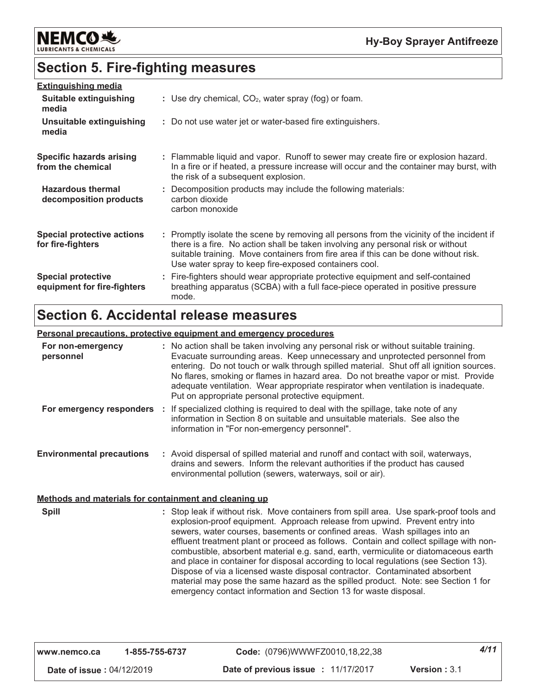

## **Section 5. Fire-fighting measures**

| <b>Extinguishing media</b>                               |                                                                                                                                                                                                                                                                                                                               |
|----------------------------------------------------------|-------------------------------------------------------------------------------------------------------------------------------------------------------------------------------------------------------------------------------------------------------------------------------------------------------------------------------|
| Suitable extinguishing<br>media                          | : Use dry chemical, $CO2$ , water spray (fog) or foam.                                                                                                                                                                                                                                                                        |
| Unsuitable extinguishing<br>media                        | : Do not use water jet or water-based fire extinguishers.                                                                                                                                                                                                                                                                     |
| Specific hazards arising<br>from the chemical            | : Flammable liquid and vapor. Runoff to sewer may create fire or explosion hazard.<br>In a fire or if heated, a pressure increase will occur and the container may burst, with<br>the risk of a subsequent explosion.                                                                                                         |
| <b>Hazardous thermal</b><br>decomposition products       | : Decomposition products may include the following materials:<br>carbon dioxide<br>carbon monoxide                                                                                                                                                                                                                            |
| <b>Special protective actions</b><br>for fire-fighters   | : Promptly isolate the scene by removing all persons from the vicinity of the incident if<br>there is a fire. No action shall be taken involving any personal risk or without<br>suitable training. Move containers from fire area if this can be done without risk.<br>Use water spray to keep fire-exposed containers cool. |
| <b>Special protective</b><br>equipment for fire-fighters | : Fire-fighters should wear appropriate protective equipment and self-contained<br>breathing apparatus (SCBA) with a full face-piece operated in positive pressure<br>mode.                                                                                                                                                   |

### **Section 6. Accidental release measures**

#### Personal precautions, protective equipment and emergency procedures For non-emergency : No action shall be taken involving any personal risk or without suitable training. Evacuate surrounding areas. Keep unnecessary and unprotected personnel from personnel entering. Do not touch or walk through spilled material. Shut off all ignition sources. No flares, smoking or flames in hazard area. Do not breathe vapor or mist. Provide adequate ventilation. Wear appropriate respirator when ventilation is inadequate. Put on appropriate personal protective equipment. : If specialized clothing is required to deal with the spillage, take note of any For emergency responders information in Section 8 on suitable and unsuitable materials. See also the information in "For non-emergency personnel". **Environmental precautions** : Avoid dispersal of spilled material and runoff and contact with soil, waterways, drains and sewers. Inform the relevant authorities if the product has caused environmental pollution (sewers, waterways, soil or air). Methods and materials for containment and cleaning up **Spill** : Stop leak if without risk. Move containers from spill area. Use spark-proof tools and explosion-proof equipment. Approach release from upwind. Prevent entry into sewers, water courses, basements or confined areas. Wash spillages into an effluent treatment plant or proceed as follows. Contain and collect spillage with noncombustible, absorbent material e.g. sand, earth, vermiculite or diatomaceous earth and place in container for disposal according to local regulations (see Section 13). Dispose of via a licensed waste disposal contractor. Contaminated absorbent material may pose the same hazard as the spilled product. Note: see Section 1 for

| www.nemco.ca                     | 1-855-755-6737 | Code: (0796)WWWFZ0010,18,22,38      |                     | 4/11 |
|----------------------------------|----------------|-------------------------------------|---------------------|------|
| <b>Date of issue: 04/12/2019</b> |                | Date of previous issue : 11/17/2017 | <b>Version: 3.1</b> |      |

emergency contact information and Section 13 for waste disposal.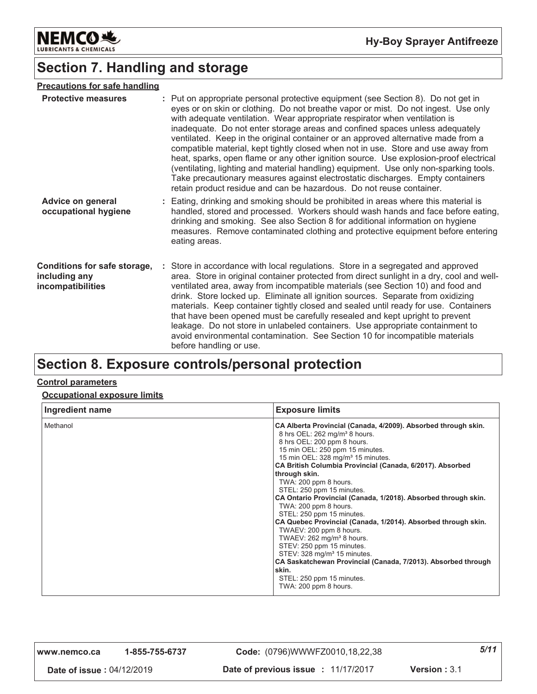

### **Section 7. Handling and storage**

| <b>Precautions for safe handling</b>                                      |                                                                                                                                                                                                                                                                                                                                                                                                                                                                                                                                                                                                                                                                                                                                                                                                                                                             |
|---------------------------------------------------------------------------|-------------------------------------------------------------------------------------------------------------------------------------------------------------------------------------------------------------------------------------------------------------------------------------------------------------------------------------------------------------------------------------------------------------------------------------------------------------------------------------------------------------------------------------------------------------------------------------------------------------------------------------------------------------------------------------------------------------------------------------------------------------------------------------------------------------------------------------------------------------|
| <b>Protective measures</b>                                                | : Put on appropriate personal protective equipment (see Section 8). Do not get in<br>eyes or on skin or clothing. Do not breathe vapor or mist. Do not ingest. Use only<br>with adequate ventilation. Wear appropriate respirator when ventilation is<br>inadequate. Do not enter storage areas and confined spaces unless adequately<br>ventilated. Keep in the original container or an approved alternative made from a<br>compatible material, kept tightly closed when not in use. Store and use away from<br>heat, sparks, open flame or any other ignition source. Use explosion-proof electrical<br>(ventilating, lighting and material handling) equipment. Use only non-sparking tools.<br>Take precautionary measures against electrostatic discharges. Empty containers<br>retain product residue and can be hazardous. Do not reuse container. |
| <b>Advice on general</b><br>occupational hygiene                          | : Eating, drinking and smoking should be prohibited in areas where this material is<br>handled, stored and processed. Workers should wash hands and face before eating,<br>drinking and smoking. See also Section 8 for additional information on hygiene<br>measures. Remove contaminated clothing and protective equipment before entering<br>eating areas.                                                                                                                                                                                                                                                                                                                                                                                                                                                                                               |
| <b>Conditions for safe storage,</b><br>including any<br>incompatibilities | : Store in accordance with local regulations. Store in a segregated and approved<br>area. Store in original container protected from direct sunlight in a dry, cool and well-<br>ventilated area, away from incompatible materials (see Section 10) and food and<br>drink. Store locked up. Eliminate all ignition sources. Separate from oxidizing<br>materials. Keep container tightly closed and sealed until ready for use. Containers<br>that have been opened must be carefully resealed and kept upright to prevent<br>leakage. Do not store in unlabeled containers. Use appropriate containment to<br>avoid environmental contamination. See Section 10 for incompatible materials<br>before handling or use.                                                                                                                                      |
|                                                                           |                                                                                                                                                                                                                                                                                                                                                                                                                                                                                                                                                                                                                                                                                                                                                                                                                                                             |

### Section 8. Exposure controls/personal protection

#### **Control parameters**

#### **Occupational exposure limits**

| Ingredient name | <b>Exposure limits</b>                                                                                                                                                                                                                                                                                                                                                                                                                                                                                                                                                                                                                                                                                                                                                                                                                  |
|-----------------|-----------------------------------------------------------------------------------------------------------------------------------------------------------------------------------------------------------------------------------------------------------------------------------------------------------------------------------------------------------------------------------------------------------------------------------------------------------------------------------------------------------------------------------------------------------------------------------------------------------------------------------------------------------------------------------------------------------------------------------------------------------------------------------------------------------------------------------------|
| Methanol        | CA Alberta Provincial (Canada, 4/2009). Absorbed through skin.<br>8 hrs OEL: 262 mg/m <sup>3</sup> 8 hours.<br>8 hrs OEL: 200 ppm 8 hours.<br>15 min OEL: 250 ppm 15 minutes.<br>15 min OEL: 328 mg/m <sup>3</sup> 15 minutes.<br>CA British Columbia Provincial (Canada, 6/2017). Absorbed<br>through skin.<br>TWA: 200 ppm 8 hours.<br>STEL: 250 ppm 15 minutes.<br>CA Ontario Provincial (Canada, 1/2018). Absorbed through skin.<br>TWA: 200 ppm 8 hours.<br>STEL: 250 ppm 15 minutes.<br>CA Quebec Provincial (Canada, 1/2014). Absorbed through skin.<br>TWAEV: 200 ppm 8 hours.<br>TWAEV: 262 mg/m <sup>3</sup> 8 hours.<br>STEV: 250 ppm 15 minutes.<br>STEV: 328 mg/m <sup>3</sup> 15 minutes.<br>CA Saskatchewan Provincial (Canada, 7/2013). Absorbed through<br>skin.<br>STEL: 250 ppm 15 minutes.<br>TWA: 200 ppm 8 hours. |

| www.nemco.ca | 1-855-755-6737 |
|--------------|----------------|
|--------------|----------------|

Code: (0796)WWWFZ0010,18,22,38

Date of issue: 04/12/2019

Date of previous issue: 11/17/2017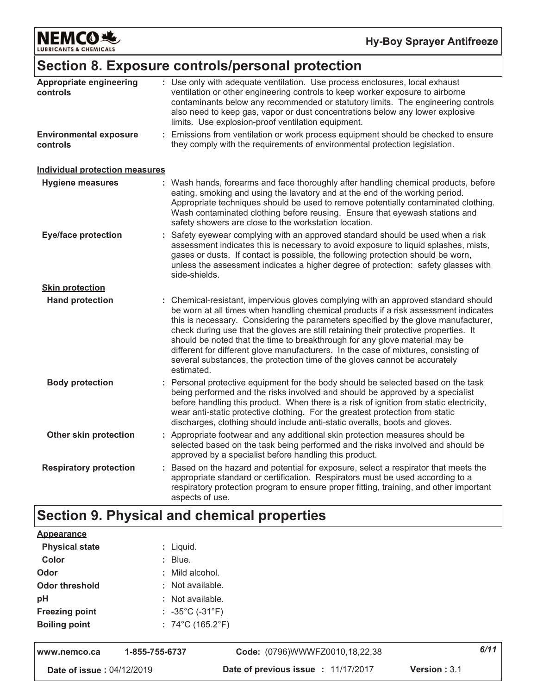NEMCO<sup>N</sup>

# Section 8. Exposure controls/personal protection

| Appropriate engineering<br>controls       | : Use only with adequate ventilation. Use process enclosures, local exhaust<br>ventilation or other engineering controls to keep worker exposure to airborne<br>contaminants below any recommended or statutory limits. The engineering controls<br>also need to keep gas, vapor or dust concentrations below any lower explosive<br>limits. Use explosion-proof ventilation equipment.                                                                                                                                                                                                                                   |
|-------------------------------------------|---------------------------------------------------------------------------------------------------------------------------------------------------------------------------------------------------------------------------------------------------------------------------------------------------------------------------------------------------------------------------------------------------------------------------------------------------------------------------------------------------------------------------------------------------------------------------------------------------------------------------|
| <b>Environmental exposure</b><br>controls | : Emissions from ventilation or work process equipment should be checked to ensure<br>they comply with the requirements of environmental protection legislation.                                                                                                                                                                                                                                                                                                                                                                                                                                                          |
| <b>Individual protection measures</b>     |                                                                                                                                                                                                                                                                                                                                                                                                                                                                                                                                                                                                                           |
| <b>Hygiene measures</b>                   | : Wash hands, forearms and face thoroughly after handling chemical products, before<br>eating, smoking and using the lavatory and at the end of the working period.<br>Appropriate techniques should be used to remove potentially contaminated clothing.<br>Wash contaminated clothing before reusing. Ensure that eyewash stations and<br>safety showers are close to the workstation location.                                                                                                                                                                                                                         |
| <b>Eye/face protection</b>                | : Safety eyewear complying with an approved standard should be used when a risk<br>assessment indicates this is necessary to avoid exposure to liquid splashes, mists,<br>gases or dusts. If contact is possible, the following protection should be worn,<br>unless the assessment indicates a higher degree of protection: safety glasses with<br>side-shields.                                                                                                                                                                                                                                                         |
| <b>Skin protection</b>                    |                                                                                                                                                                                                                                                                                                                                                                                                                                                                                                                                                                                                                           |
| <b>Hand protection</b>                    | : Chemical-resistant, impervious gloves complying with an approved standard should<br>be worn at all times when handling chemical products if a risk assessment indicates<br>this is necessary. Considering the parameters specified by the glove manufacturer,<br>check during use that the gloves are still retaining their protective properties. It<br>should be noted that the time to breakthrough for any glove material may be<br>different for different glove manufacturers. In the case of mixtures, consisting of<br>several substances, the protection time of the gloves cannot be accurately<br>estimated. |
| <b>Body protection</b>                    | : Personal protective equipment for the body should be selected based on the task<br>being performed and the risks involved and should be approved by a specialist<br>before handling this product. When there is a risk of ignition from static electricity,<br>wear anti-static protective clothing. For the greatest protection from static<br>discharges, clothing should include anti-static overalls, boots and gloves.                                                                                                                                                                                             |
| Other skin protection                     | : Appropriate footwear and any additional skin protection measures should be<br>selected based on the task being performed and the risks involved and should be<br>approved by a specialist before handling this product.                                                                                                                                                                                                                                                                                                                                                                                                 |
| <b>Respiratory protection</b>             | Based on the hazard and potential for exposure, select a respirator that meets the<br>appropriate standard or certification. Respirators must be used according to a<br>respiratory protection program to ensure proper fitting, training, and other important<br>aspects of use.                                                                                                                                                                                                                                                                                                                                         |
|                                           | <b>Section 9. Physical and chemical properties</b>                                                                                                                                                                                                                                                                                                                                                                                                                                                                                                                                                                        |

| Appearance                       |                                       |                                     |                     |      |
|----------------------------------|---------------------------------------|-------------------------------------|---------------------|------|
| <b>Physical state</b>            | $:$ Liquid.                           |                                     |                     |      |
| Color                            | $:$ Blue.                             |                                     |                     |      |
| Odor                             | : Mild alcohol.                       |                                     |                     |      |
| Odor threshold                   | : Not available.                      |                                     |                     |      |
| pH                               | : Not available.                      |                                     |                     |      |
| <b>Freezing point</b>            | $: -35^{\circ}$ C (-31 $^{\circ}$ F)  |                                     |                     |      |
| <b>Boiling point</b>             | $: 74^{\circ}$ C (165.2 $^{\circ}$ F) |                                     |                     |      |
| www.nemco.ca                     | 1-855-755-6737                        | Code: (0796)WWWFZ0010,18,22,38      |                     | 6/11 |
| <b>Date of issue: 04/12/2019</b> |                                       | Date of previous issue : 11/17/2017 | <b>Version: 3.1</b> |      |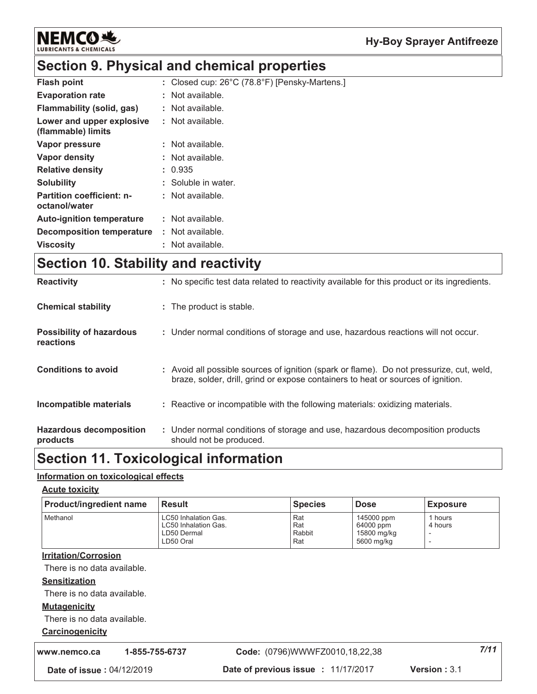

### Section 9. Physical and chemical properties

| <b>Flash point</b>                                | : Closed cup: 26°C (78.8°F) [Pensky-Martens.] |
|---------------------------------------------------|-----------------------------------------------|
| <b>Evaporation rate</b>                           | : Not available.                              |
| Flammability (solid, gas)                         | : Not available.                              |
| Lower and upper explosive<br>(flammable) limits   | : Not available.                              |
| Vapor pressure                                    | : Not available.                              |
| Vapor density                                     | : Not available.                              |
| <b>Relative density</b>                           | : 0.935                                       |
| <b>Solubility</b>                                 | : Soluble in water.                           |
| <b>Partition coefficient: n-</b><br>octanol/water | : Not available.                              |
| <b>Auto-ignition temperature</b>                  | : Not available.                              |
| Decomposition temperature                         | : Not available.                              |
| <b>Viscosity</b>                                  | : Not available.                              |

### Section 10. Stability and reactivity

| <b>Reactivity</b>                            | : No specific test data related to reactivity available for this product or its ingredients.                                                                                 |
|----------------------------------------------|------------------------------------------------------------------------------------------------------------------------------------------------------------------------------|
| <b>Chemical stability</b>                    | : The product is stable.                                                                                                                                                     |
| <b>Possibility of hazardous</b><br>reactions | : Under normal conditions of storage and use, hazardous reactions will not occur.                                                                                            |
| <b>Conditions to avoid</b>                   | : Avoid all possible sources of ignition (spark or flame). Do not pressurize, cut, weld,<br>braze, solder, drill, grind or expose containers to heat or sources of ignition. |
| Incompatible materials                       | : Reactive or incompatible with the following materials: oxidizing materials.                                                                                                |
| <b>Hazardous decomposition</b><br>products   | : Under normal conditions of storage and use, hazardous decomposition products<br>should not be produced.                                                                    |

### **Section 11. Toxicological information**

#### Information on toxicological effects

**Acute toxicity** 

| <b>Product/ingredient name</b> | l Result                                                                        | <b>Species</b>              | <b>Dose</b>                                          | <b>Exposure</b>    |
|--------------------------------|---------------------------------------------------------------------------------|-----------------------------|------------------------------------------------------|--------------------|
| Methanol                       | <b>LC50 Inhalation Gas.</b><br>LC50 Inhalation Gas.<br>LD50 Dermal<br>LD50 Oral | Rat<br>Rat<br>Rabbit<br>Rat | 145000 ppm<br>64000 ppm<br>15800 mg/kg<br>5600 mg/kg | 1 hours<br>4 hours |

#### **Irritation/Corrosion**

There is no data available.

#### **Sensitization**

There is no data available.

#### **Mutagenicity**

There is no data available.

### Carcinogenicity

| www.nemco.ca                     | 1-855-755-6737 | Code: (0796)WWWFZ0010,18,22,38      |                        | 7/11 |
|----------------------------------|----------------|-------------------------------------|------------------------|------|
| <b>Date of issue: 04/12/2019</b> |                | Date of previous issue : 11/17/2017 | <b>Version</b> : $3.1$ |      |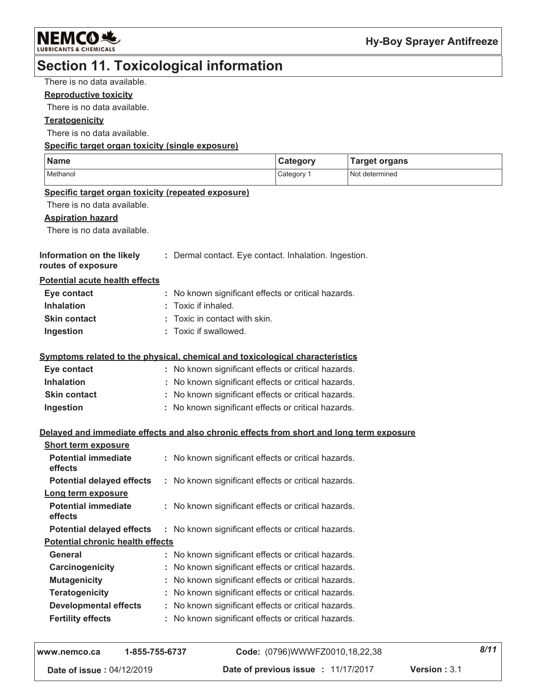

### **Section 11. Toxicological information**

There is no data available.

#### **Reproductive toxicity**

There is no data available.

#### **Teratogenicity**

There is no data available.

#### Specific target organ toxicity (single exposure)

| <b>Name</b>                                                                              |                                                   |                                                       | <b>Category</b> | <b>Target organs</b> |
|------------------------------------------------------------------------------------------|---------------------------------------------------|-------------------------------------------------------|-----------------|----------------------|
| Methanol                                                                                 |                                                   |                                                       | Category 1      | Not determined       |
| Specific target organ toxicity (repeated exposure)                                       |                                                   |                                                       |                 |                      |
| There is no data available.                                                              |                                                   |                                                       |                 |                      |
| <b>Aspiration hazard</b>                                                                 |                                                   |                                                       |                 |                      |
| There is no data available.                                                              |                                                   |                                                       |                 |                      |
| Information on the likely<br>routes of exposure                                          |                                                   | : Dermal contact. Eye contact. Inhalation. Ingestion. |                 |                      |
| <b>Potential acute health effects</b>                                                    |                                                   |                                                       |                 |                      |
| Eye contact                                                                              |                                                   | : No known significant effects or critical hazards.   |                 |                      |
| <b>Inhalation</b>                                                                        |                                                   | Toxic if inhaled.                                     |                 |                      |
| <b>Skin contact</b>                                                                      |                                                   | Toxic in contact with skin.                           |                 |                      |
| Ingestion                                                                                |                                                   | : Toxic if swallowed.                                 |                 |                      |
| Symptoms related to the physical, chemical and toxicological characteristics             |                                                   |                                                       |                 |                      |
| Eye contact                                                                              |                                                   | : No known significant effects or critical hazards.   |                 |                      |
| <b>Inhalation</b>                                                                        |                                                   | : No known significant effects or critical hazards.   |                 |                      |
| <b>Skin contact</b>                                                                      |                                                   | : No known significant effects or critical hazards.   |                 |                      |
| Ingestion                                                                                |                                                   | : No known significant effects or critical hazards.   |                 |                      |
| Delayed and immediate effects and also chronic effects from short and long term exposure |                                                   |                                                       |                 |                      |
| <b>Short term exposure</b>                                                               |                                                   |                                                       |                 |                      |
| <b>Potential immediate</b><br>effects                                                    |                                                   | : No known significant effects or critical hazards.   |                 |                      |
| <b>Potential delayed effects</b>                                                         |                                                   | : No known significant effects or critical hazards.   |                 |                      |
| Long term exposure                                                                       |                                                   |                                                       |                 |                      |
| <b>Potential immediate</b><br>effects                                                    |                                                   | : No known significant effects or critical hazards.   |                 |                      |
| <b>Potential delayed effects</b>                                                         |                                                   | : No known significant effects or critical hazards.   |                 |                      |
| <b>Potential chronic health effects</b>                                                  |                                                   |                                                       |                 |                      |
| <b>General</b>                                                                           |                                                   | No known significant effects or critical hazards.     |                 |                      |
| Carcinogenicity                                                                          |                                                   | No known significant effects or critical hazards.     |                 |                      |
| <b>Mutagenicity</b>                                                                      |                                                   | No known significant effects or critical hazards.     |                 |                      |
| <b>Teratogenicity</b>                                                                    | t                                                 | No known significant effects or critical hazards.     |                 |                      |
| <b>Developmental effects</b>                                                             | No known significant effects or critical hazards. |                                                       |                 |                      |
| <b>Fertility effects</b>                                                                 |                                                   | No known significant effects or critical hazards.     |                 |                      |
|                                                                                          |                                                   |                                                       |                 |                      |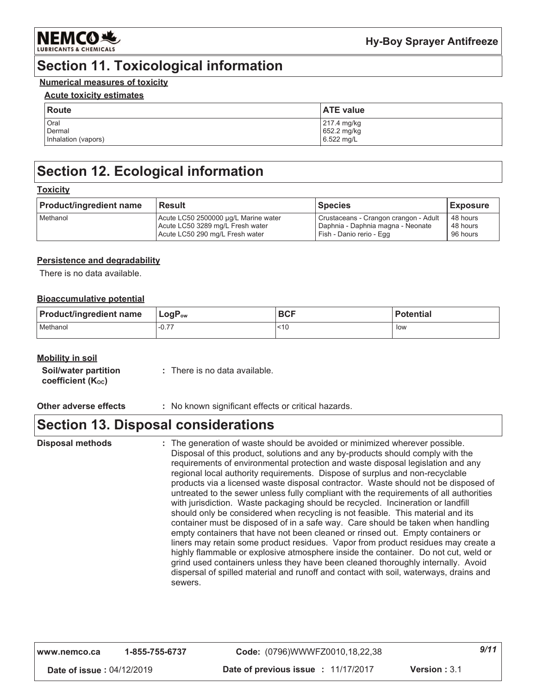

### **Section 11. Toxicological information**

### **Numerical measures of toxicity**

#### **Acute toxicity estimates**

| <b>Route</b>        | <b>ATE value</b> |
|---------------------|------------------|
| Oral                | 217.4 mg/kg      |
| Dermal              | 652.2 mg/kg      |
| Inhalation (vapors) | 6.522 mg/L       |

### **Section 12. Ecological information**

#### **Toxicity**

| <b>Product/ingredient name</b> | <b>Result</b>                        | <b>Species</b>                        | <b>Exposure</b> |
|--------------------------------|--------------------------------------|---------------------------------------|-----------------|
| Methanol                       | Acute LC50 2500000 µg/L Marine water | Crustaceans - Crangon crangon - Adult | 48 hours        |
|                                | Acute LC50 3289 mg/L Fresh water     | Daphnia - Daphnia magna - Neonate     | 48 hours        |
|                                | Acute LC50 290 mg/L Fresh water      | Fish - Danio rerio - Egg              | 96 hours        |

#### **Persistence and degradability**

There is no data available.

#### **Bioaccumulative potential**

| <b>Product/ingredient name</b> | $\mathsf{LogP}_\mathsf{ow}$ | <b>BCF</b> | <b>Potential</b> |
|--------------------------------|-----------------------------|------------|------------------|
| Methanol                       | $-0.77$                     | < 10       | low              |

#### **Mobility in soil**

| Soil/water partition | : There is no data available. |
|----------------------|-------------------------------|
| coefficient (Koc)    |                               |

#### **Other adverse effects** : No known significant effects or critical hazards.

### **Section 13. Disposal considerations**

**Disposal methods** : The generation of waste should be avoided or minimized wherever possible. Disposal of this product, solutions and any by-products should comply with the requirements of environmental protection and waste disposal legislation and any regional local authority requirements. Dispose of surplus and non-recyclable products via a licensed waste disposal contractor. Waste should not be disposed of untreated to the sewer unless fully compliant with the requirements of all authorities with jurisdiction. Waste packaging should be recycled. Incineration or landfill should only be considered when recycling is not feasible. This material and its container must be disposed of in a safe way. Care should be taken when handling empty containers that have not been cleaned or rinsed out. Empty containers or liners may retain some product residues. Vapor from product residues may create a highly flammable or explosive atmosphere inside the container. Do not cut, weld or grind used containers unless they have been cleaned thoroughly internally. Avoid dispersal of spilled material and runoff and contact with soil, waterways, drains and sewers.

| l www.nemco.ca                   | 1-855-755-6737 | Code: (0796)WWWFZ0010,18,22,38     |                     | 9/11 |
|----------------------------------|----------------|------------------------------------|---------------------|------|
| <b>Date of issue: 04/12/2019</b> |                | Date of previous issue: 11/17/2017 | <b>Version: 3.1</b> |      |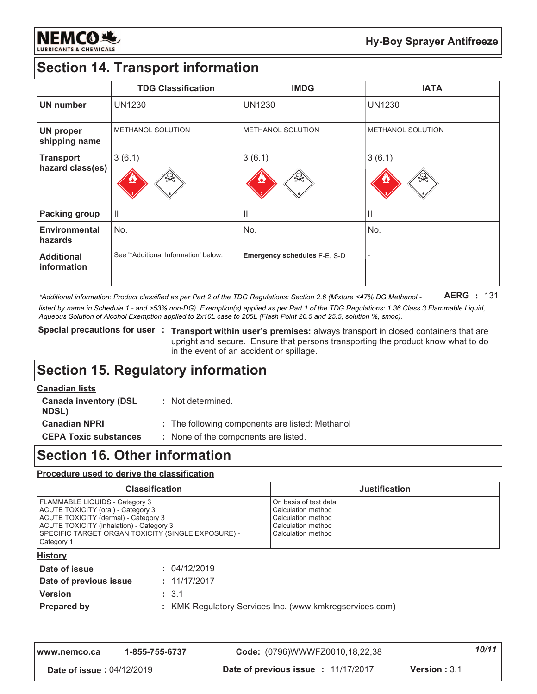

# **Section 14. Transport information**

|                                      | <b>TDG Classification</b>             | <b>IMDG</b>                         | <b>IATA</b>              |
|--------------------------------------|---------------------------------------|-------------------------------------|--------------------------|
| <b>UN number</b>                     | <b>UN1230</b>                         | <b>UN1230</b>                       | <b>UN1230</b>            |
| <b>UN proper</b><br>shipping name    | <b>METHANOL SOLUTION</b>              | <b>METHANOL SOLUTION</b>            | <b>METHANOL SOLUTION</b> |
| <b>Transport</b><br>hazard class(es) | 3(6.1)                                | 3(6.1)                              | 3(6.1)                   |
| <b>Packing group</b>                 | $\begin{array}{c} \hline \end{array}$ | Ш                                   | $\mathbf{  }$            |
| <b>Environmental</b><br>hazards      | No.                                   | No.                                 | No.                      |
| <b>Additional</b><br>information     | See "Additional Information' below.   | <b>Emergency schedules F-E, S-D</b> |                          |

**AERG** : 131 \*Additional information: Product classified as per Part 2 of the TDG Regulations: Section 2.6 (Mixture <47% DG Methanol listed by name in Schedule 1 - and >53% non-DG). Exemption(s) applied as per Part 1 of the TDG Regulations: 1.36 Class 3 Flammable Liquid, Aqueous Solution of Alcohol Exemption applied to 2x10L case to 205L (Flash Point 26.5 and 25.5, solution %, smoc).

Special precautions for user : Transport within user's premises: always transport in closed containers that are upright and secure. Ensure that persons transporting the product know what to do in the event of an accident or spillage.

### **Section 15. Regulatory information**

| <b>Canadian lists</b>                        |                                                 |
|----------------------------------------------|-------------------------------------------------|
| <b>Canada inventory (DSL</b><br><b>NDSL)</b> | : Not determined.                               |
| <b>Canadian NPRI</b>                         | : The following components are listed: Methanol |
| <b>CEPA Toxic substances</b>                 | : None of the components are listed.            |
|                                              |                                                 |

### **Section 16. Other information**

#### Procedure used to derive the classification

| <b>Classification</b>                                                                                                                                                                                                               |              | <b>Justification</b>                                                                                          |
|-------------------------------------------------------------------------------------------------------------------------------------------------------------------------------------------------------------------------------------|--------------|---------------------------------------------------------------------------------------------------------------|
| <b>FLAMMABLE LIQUIDS - Category 3</b><br>ACUTE TOXICITY (oral) - Category 3<br>ACUTE TOXICITY (dermal) - Category 3<br>ACUTE TOXICITY (inhalation) - Category 3<br>SPECIFIC TARGET ORGAN TOXICITY (SINGLE EXPOSURE) -<br>Category 1 |              | On basis of test data<br>Calculation method<br>Calculation method<br>Calculation method<br>Calculation method |
| <b>History</b>                                                                                                                                                                                                                      |              |                                                                                                               |
| Date of issue                                                                                                                                                                                                                       | : 04/12/2019 |                                                                                                               |
| Date of previous issue                                                                                                                                                                                                              | : 11/17/2017 |                                                                                                               |
| <b>Version</b>                                                                                                                                                                                                                      | : 3.1        |                                                                                                               |
| <b>Prepared by</b>                                                                                                                                                                                                                  |              | : KMK Regulatory Services Inc. (www.kmkregservices.com)                                                       |

| l www.nemco.ca                   | 1-855-755-6737 | Code: (0796)WWWFZ0010,18,22,38      |                      | 10/11 |
|----------------------------------|----------------|-------------------------------------|----------------------|-------|
| <b>Date of issue: 04/12/2019</b> |                | Date of previous issue : 11/17/2017 | <b>Version</b> : 3.1 |       |